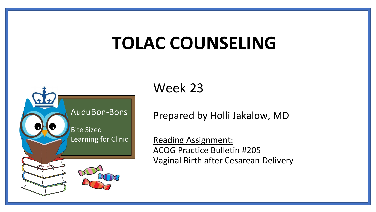# **TOLAC COUNSELING**



Week 23

Prepared by Holli Jakalow, MD

Reading Assignment: ACOG Practice Bulletin #205 Vaginal Birth after Cesarean Delivery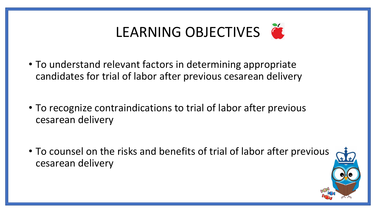

- To understand relevant factors in determining appropriate candidates for trial of labor after previous cesarean delivery
- To recognize contraindications to trial of labor after previous cesarean delivery
- To counsel on the risks and benefits of trial of labor after previous cesarean delivery

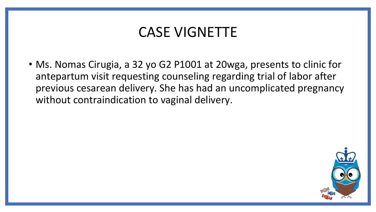#### CASE VIGNETTE

• Ms. Nomas Cirugia, a 32 yo G2 P1001 at 20wga, presents to clinic for antepartum visit requesting counseling regarding trial of labor after previous cesarean delivery. She has had an uncomplicated pregnancy without contraindication to vaginal delivery.

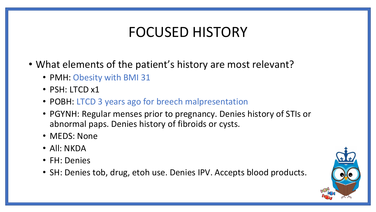#### FOCUSED HISTORY

- What elements of the patient's history are most relevant?
	- PMH: Obesity with BMI 31
	- PSH: LTCD x1
	- POBH: LTCD 3 years ago for breech malpresentation
	- PGYNH: Regular menses prior to pregnancy. Denies history of STIs or abnormal paps. Denies history of fibroids or cysts.
	- MEDS: None
	- All: NKDA
	- FH: Denies
	- SH: Denies tob, drug, etoh use. Denies IPV. Accepts blood products.

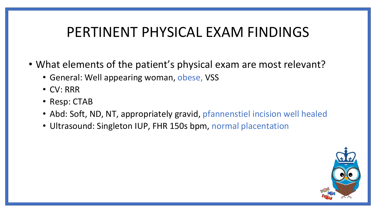#### PERTINENT PHYSICAL EXAM FINDINGS

- What elements of the patient's physical exam are most relevant?
	- General: Well appearing woman, obese, VSS
	- CV: RRR
	- Resp: CTAB
	- Abd: Soft, ND, NT, appropriately gravid, pfannenstiel incision well healed
	- Ultrasound: Singleton IUP, FHR 150s bpm, normal placentation

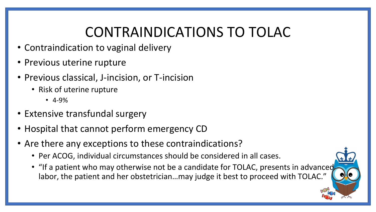#### CONTRAINDICATIONS TO TOLAC

- Contraindication to vaginal delivery
- Previous uterine rupture
- Previous classical, J-incision, or T-incision
	- Risk of uterine rupture
		- 4-9%
- Extensive transfundal surgery
- Hospital that cannot perform emergency CD
- Are there any exceptions to these contraindications?
	- Per ACOG, individual circumstances should be considered in all cases.
	- "If a patient who may otherwise not be a candidate for TOLAC, presents in advanced labor, the patient and her obstetrician…may judge it best to proceed with TOLAC."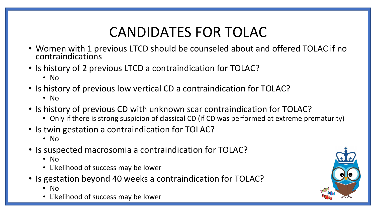## CANDIDATES FOR TOLAC

- Women with 1 previous LTCD should be counseled about and offered TOLAC if no contraindications
- Is history of 2 previous LTCD a contraindication for TOLAC?
	- No
- Is history of previous low vertical CD a contraindication for TOLAC?
	- No
- Is history of previous CD with unknown scar contraindication for TOLAC?
	- Only if there is strong suspicion of classical CD (if CD was performed at extreme prematurity)
- Is twin gestation a contraindication for TOLAC?
	- No
- Is suspected macrosomia a contraindication for TOLAC?
	- No
	- Likelihood of success may be lower
- Is gestation beyond 40 weeks a contraindication for TOLAC?
	- No
	- Likelihood of success may be lower

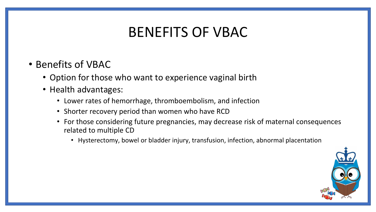#### BENEFITS OF VBAC

- Benefits of VBAC
	- Option for those who want to experience vaginal birth
	- Health advantages:
		- Lower rates of hemorrhage, thromboembolism, and infection
		- Shorter recovery period than women who have RCD
		- For those considering future pregnancies, may decrease risk of maternal consequences related to multiple CD
			- Hysterectomy, bowel or bladder injury, transfusion, infection, abnormal placentation

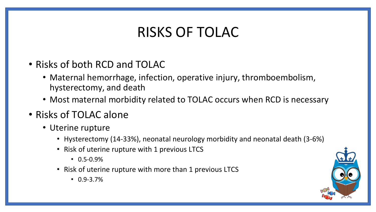#### RISKS OF TOLAC

- Risks of both RCD and TOLAC
	- Maternal hemorrhage, infection, operative injury, thromboembolism, hysterectomy, and death
	- Most maternal morbidity related to TOLAC occurs when RCD is necessary
- Risks of TOLAC alone
	- Uterine rupture
		- Hysterectomy (14-33%), neonatal neurology morbidity and neonatal death (3-6%)
		- Risk of uterine rupture with 1 previous LTCS
			- $\cdot$  0.5-0.9%
		- Risk of uterine rupture with more than 1 previous LTCS
			- 0.9-3.7%

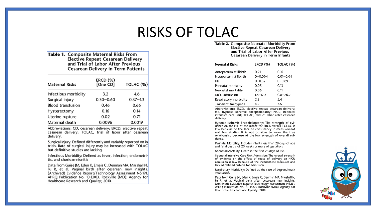#### RISKS OF TOLAC

| Table 1. Composite Maternal Risks From    |
|-------------------------------------------|
| <b>Elective Repeat Cesarean Delivery</b>  |
| and Trial of Labor After Previous         |
| <b>Cesarean Delivery in Term Patients</b> |

| <b>Maternal Risks</b> | <b>ERCD (%)</b><br>[One CD] | TOLAC (%)    |  |  |
|-----------------------|-----------------------------|--------------|--|--|
| Infectious morbidity  | 3.2                         | 4.6          |  |  |
| Surgical injury       | $0.30 - 0.60$               | $0.37 - 1.3$ |  |  |
| Blood transfusion     | 0.46                        | 0.66         |  |  |
| Hysterectomy          | 0.16                        | 0.14         |  |  |
| Uterine rupture       | 0.02                        | 0.71         |  |  |
| Maternal death        | 0.0096                      | 0.0019       |  |  |

Abbreviations: CD, cesarean delivery; ERCD, elective repeat cesarean delivery; TOLAC, trial of labor after cesarean delivery.

Surgical Injury: Defined differently and variably reported on in trials. Rate of surgical injury may be increased with TOLAC but definitive studies are lacking.

Infectious Morbidity: Defined as fever, infection, endometritis, and chorioamnionitis

Data from Guise JM, Eden K, Emeis C, Denman MA, Marshall N, Fu R, et al. Vaginal birth after cesarean: new insights. (Archived) Evidence Report/Technology Assessment No.191. AHRQ Publication No. 10-E003. Rockville (MD): Agency for Healthcare Research and Quality; 2010.

| <b>Table 2.</b> Composite Neonatal Morbidity Fron<br><b>Elective Repeat Cesarean Delivery</b><br>and Trial of Labor After Previous<br>Cesarean Delivery in Term Infants |                 |               |  |  |  |  |
|-------------------------------------------------------------------------------------------------------------------------------------------------------------------------|-----------------|---------------|--|--|--|--|
| Neonatal Risks                                                                                                                                                          | <b>ERCD (%)</b> | TOLAC (%      |  |  |  |  |
| Antepartum stillbirth                                                                                                                                                   | 0.21            | 0.10          |  |  |  |  |
| Intrapartum stillbirth                                                                                                                                                  | $0 - 0.004$     | $0.01 - 0.04$ |  |  |  |  |
| HIE                                                                                                                                                                     | $0 - 0.32$      | $0 - 0.89$    |  |  |  |  |
| Perinatal mortality                                                                                                                                                     | 0.05            | 0.13          |  |  |  |  |
| Neonatal mortality                                                                                                                                                      | 0.06            | 0.11          |  |  |  |  |
| NICU admission                                                                                                                                                          | $1.5 - 17.6$    | $0.8 - 26.2$  |  |  |  |  |
| Respiratory morbidity                                                                                                                                                   | 2.5             | 5.4           |  |  |  |  |
| Transient tachypnea                                                                                                                                                     | 4.2             | 3.6           |  |  |  |  |
|                                                                                                                                                                         |                 |               |  |  |  |  |

Abbreviations: ERCD, elective repeat cesarean delivery; HIE, hypoxic ischemic encephalopathy; NICU, neonatal intensive care unit: TOLAC, trial of labor after cesarean delivery.

Hypoxic Ischemic Encephalopathy: The strength of evi-<br>dence on the HIE of the infant for ERCD versus TOLAC is low because of the lack of consistency in measurement and few studies. It is not possible to know the true relationship because of the low strength of overall evidence.

Perinatal Mortality: Includes infants less than 28 days of age and fetal deaths of 20 weeks or more of gestation.

Neonatal Mortality: Death in the first 28 days of life.

Neonatal Intensive Care Unit Admission: The overall strength of evidence on the effect of route of delivery on NICU admission is low because of the inconsistent measures and lack of defined criteria for admission.

Respiratory Morbidity: Defined as the rate of bag-and-mask ventilation.

Data from Guise JM, Eden K, Emeis C, Denman MA, Marshall N, Fu R, et al. Vaginal birth after cesarean: new insights. (Archived) Evidence Report/Technology Assessment No.191. AHRQ Publication No. 10-E003. Rockville (MD): Agency for Healthcare Research and Quality; 2010.

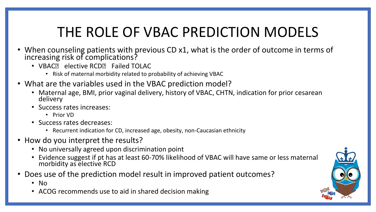## THE ROLE OF VBAC PREDICTION MODELS

- When counseling patients with previous CD x1, what is the order of outcome in terms of increasing risk of complications?
	- VBAC**E** elective RCD**E** Failed TOLAC
		- Risk of maternal morbidity related to probability of achieving VBAC
- What are the variables used in the VBAC prediction model?
	- Maternal age, BMI, prior vaginal delivery, history of VBAC, CHTN, indication for prior cesarean delivery
	- Success rates increases:
		- Prior VD
	- Success rates decreases:
		- Recurrent indication for CD, increased age, obesity, non-Caucasian ethnicity
- How do you interpret the results?
	- No universally agreed upon discrimination point
	- Evidence suggest if pt has at least 60-70% likelihood of VBAC will have same or less maternal morbidity as elective RCD
- Does use of the prediction model result in improved patient outcomes?
	- No
	- ACOG recommends use to aid in shared decision making

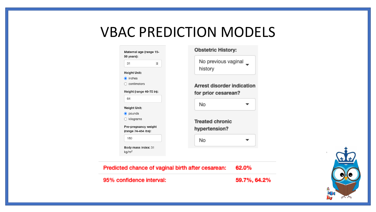#### VBAC PREDICTION MODELS

| 31                                          | $\hat{\div}$ |  |
|---------------------------------------------|--------------|--|
| <b>Height Unit:</b>                         |              |  |
| $\odot$ inches                              |              |  |
| $\bigcirc$ centimeters                      |              |  |
| Height (range 46-75 in):                    |              |  |
| 64                                          |              |  |
| <b>Weight Unit:</b>                         |              |  |
| $\bullet$ pounds                            |              |  |
| $\bigcirc$ kilograms                        |              |  |
| Pre-pregnancy weight<br>(range 74-454 lbs): |              |  |
| 180                                         |              |  |
| Body mass index: 31                         |              |  |

#### stetric History:

| No previous vaginal |  |
|---------------------|--|
| history             |  |

rest disorder indication prior cesarean?

| No | ┳ |
|----|---|
|    |   |

ated chronic pertension?

| No |  |
|----|--|
|    |  |



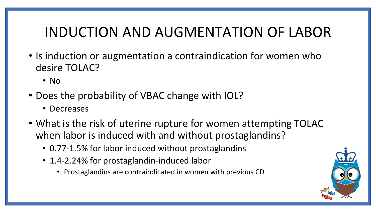#### INDUCTION AND AUGMENTATION OF LABOR

- Is induction or augmentation a contraindication for women who desire TOLAC?
	- No
- Does the probability of VBAC change with IOL?
	- Decreases
- What is the risk of uterine rupture for women attempting TOLAC when labor is induced with and without prostaglandins?
	- 0.77-1.5% for labor induced without prostaglandins
	- 1.4-2.24% for prostaglandin-induced labor
		- Prostaglandins are contraindicated in women with previous CD

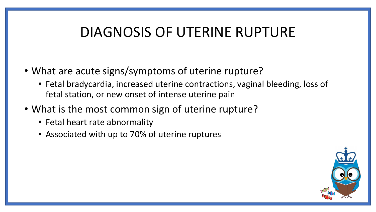#### DIAGNOSIS OF UTERINE RUPTURE

- What are acute signs/symptoms of uterine rupture?
	- Fetal bradycardia, increased uterine contractions, vaginal bleeding, loss of fetal station, or new onset of intense uterine pain
- What is the most common sign of uterine rupture?
	- Fetal heart rate abnormality
	- Associated with up to 70% of uterine ruptures

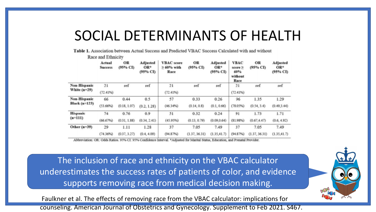#### SOCIAL DETERMINANTS OF HEALTH

Table 1. Association between Actual Success and Predicted VBAC Success Calculated with and without

|                 | Actual<br><b>Success</b> | OR.<br>(95% CI) | <b>Adjusted</b><br>$OR*$<br>(95% CI) | <b>VBAC</b> score<br>$\geq 60\%$ with<br>Race | OR.<br>(95% CI) | <b>Adjusted</b><br>OR*<br>(95% CI) | <b>VBAC</b><br>score $\geq$<br>60%<br>without<br>Race | OR.<br>(95% CI) | <b>Adjusted</b><br>$OR*$<br>(95% CI) |
|-----------------|--------------------------|-----------------|--------------------------------------|-----------------------------------------------|-----------------|------------------------------------|-------------------------------------------------------|-----------------|--------------------------------------|
| Non-Hispanic    | 21                       | ref             | ref                                  | 21                                            | ref             | ref                                | 21                                                    | ref             | ref                                  |
| White $(n=29)$  | (72.41%)                 |                 |                                      | (72.4196)                                     |                 |                                    | (72.41%)                                              |                 |                                      |
| Non-Hispanic    | 66                       | 0.44            | 0.5                                  | 57                                            | 0.33            | 0.26                               | 96                                                    | 1.35            | 1.29                                 |
| Black (n=123)   | (53.66%)                 | (0.18, 1.07)    | (0.2, 1.28)                          | (46.34%)                                      | (0.14, 0.8)     | (0.1, 0.66)                        | (78.05%)                                              | (0.54, 3.4)     | (0.49, 3.44)                         |
| <b>Hispanic</b> | 74                       | 0.76            | 0.9                                  | 51                                            | 0.32            | 0.24                               | 91                                                    | 1.73            | 1.71                                 |
| $(n=111)$       | (66.67%)                 | (0.31, 1.88)    | (0.34, 2.41)                         | (45.95%)                                      | (0.13, 0.79)    | (0.09, 0.64)                       | (81.98%)                                              | (0.67.4.47)     | (0.6, 4.92)                          |
| Other (n=39)    | 29                       | 1.11            | 1.28                                 | 37                                            | 7.05            | 7.49                               | 37                                                    | 7.05            | 7.49                                 |
|                 | (74.36%)                 | (0.37, 3.27)    | (0.4, 4.09)                          | (94.87%)                                      | (1.37, 36.31)   | (1.35, 41.7)                       | (94.87%)                                              | (1.37, 36.31)   | (1.35, 41.7)                         |

Race and Ethnicity

Abbreviation: OR: Odds Ratios. 95% CI: 95% Confidence Interval. \*Adjusted for Marital Status, Education, and Prenatal Provider.

The inclusion of race and ethnicity on the VBAC calculator underestimates the success rates of patients of color, and evidence supports removing race from medical decision making.

Faulkner et al. The effects of removing race from the VBAC calculator: implications for counseling. American Journal of Obstetrics and Gynecology. Supplement to Feb 2021. S467.

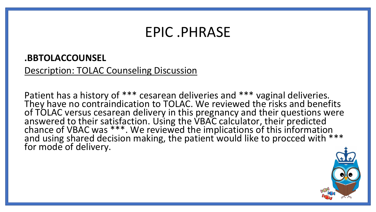#### EPIC .PHRASE

#### **.BBTOLACCOUNSEL**

Description: TOLAC Counseling Discussion

Patient has a history of \*\*\* cesarean deliveries and \*\*\* vaginal deliveries. They have no contraindication to TOLAC. We reviewed the risks and benefits of TOLAC versus cesarean delivery in this pregnancy and their questions were answered to their satisfaction. Using the VBAC calculator, their predicted chance of VBAC was \*\*\*. We reviewed the implications of this information and using shared decision making, the patient would like to procced with \*\*\* for mode of delivery.

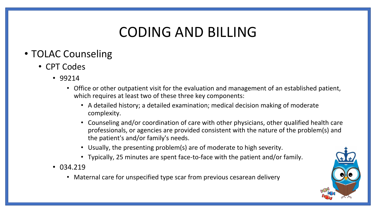#### CODING AND BILLING

#### • TOLAC Counseling

- CPT Codes
	- 99214
		- Office or other outpatient visit for the evaluation and management of an established patient, which requires at least two of these three key components:
			- A detailed history; a detailed examination; medical decision making of moderate complexity.
			- Counseling and/or coordination of care with other physicians, other qualified health care professionals, or agencies are provided consistent with the nature of the problem(s) and the patient's and/or family's needs.
			- Usually, the presenting problem(s) are of moderate to high severity.
			- Typically, 25 minutes are spent face-to-face with the patient and/or family.
	- 034.219
		- Maternal care for unspecified type scar from previous cesarean delivery